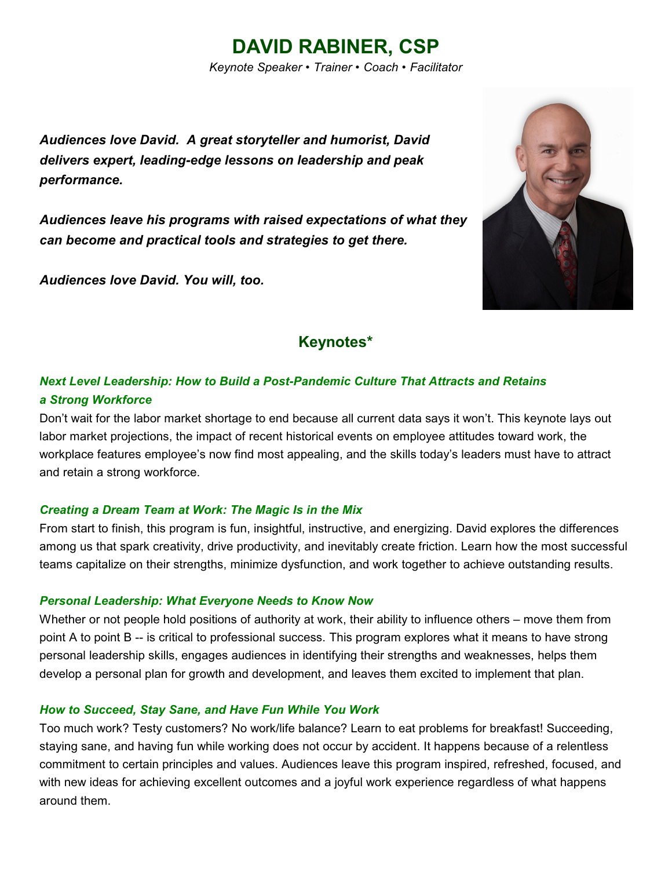# **DAVID RABINER, CSP**

*Keynote Speaker • Trainer • Coach • Facilitator*

*Audiences love David. A great storyteller and humorist, David delivers expert, leading-edge lessons on leadership and peak performance.*

*Audiences leave his programs with raised expectations of what they can become and practical tools and strategies to get there.*

*Audiences love David. You will, too.*



## **Keynotes\***

### *Next Level Leadership: How to Build a Post-Pandemic Culture That Attracts and Retains a Strong Workforce*

Don't wait for the labor market shortage to end because all current data says it won't. This keynote lays out labor market projections, the impact of recent historical events on employee attitudes toward work, the workplace features employee's now find most appealing, and the skills today's leaders must have to attract and retain a strong workforce.

#### *Creating a Dream Team at Work: The Magic Is in the Mix*

From start to finish, this program is fun, insightful, instructive, and energizing. David explores the differences among us that spark creativity, drive productivity, and inevitably create friction. Learn how the most successful teams capitalize on their strengths, minimize dysfunction, and work together to achieve outstanding results.

#### *Personal Leadership: What Everyone Needs to Know Now*

Whether or not people hold positions of authority at work, their ability to influence others – move them from point A to point B -- is critical to professional success. This program explores what it means to have strong personal leadership skills, engages audiences in identifying their strengths and weaknesses, helps them develop a personal plan for growth and development, and leaves them excited to implement that plan.

#### *How to Succeed, Stay Sane, and Have Fun While You Work*

Too much work? Testy customers? No work/life balance? Learn to eat problems for breakfast! Succeeding, staying sane, and having fun while working does not occur by accident. It happens because of a relentless commitment to certain principles and values. Audiences leave this program inspired, refreshed, focused, and with new ideas for achieving excellent outcomes and a joyful work experience regardless of what happens around them.